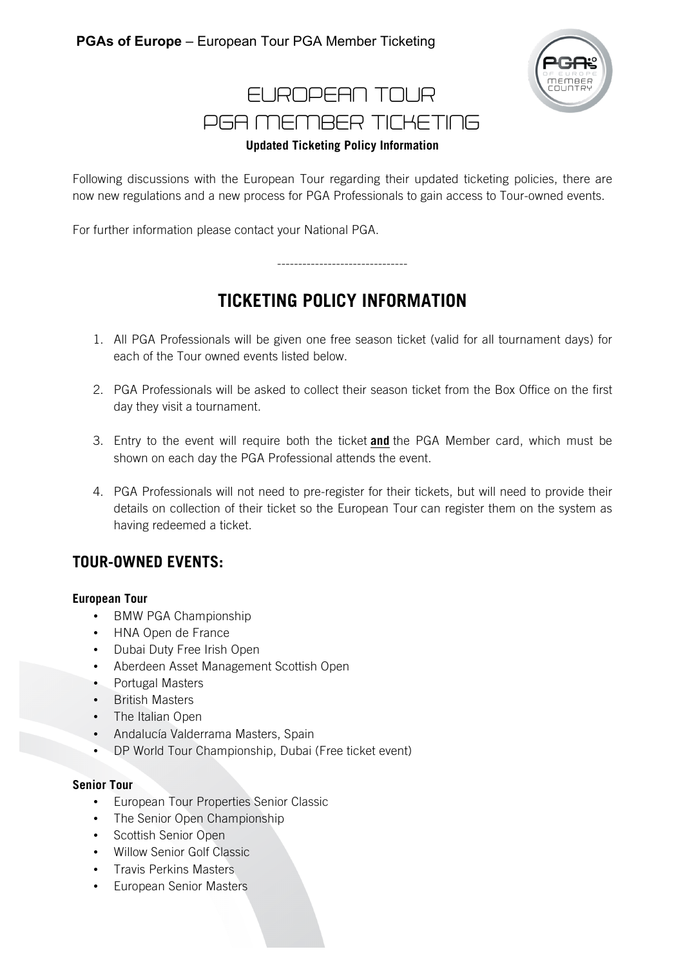

## EUROPEAN TOUR PGA MEMBER TICKETING **Updated Ticketing Policy Information**

Following discussions with the European Tour regarding their updated ticketing policies, there are now new regulations and a new process for PGA Professionals to gain access to Tour-owned events.

For further information please contact your National PGA.

# **TICKETING POLICY INFORMATION**

-------------------------------

- 1. All PGA Professionals will be given one free season ticket (valid for all tournament days) for each of the Tour owned events listed below.
- 2. PGA Professionals will be asked to collect their season ticket from the Box Office on the first day they visit a tournament.
- 3. Entry to the event will require both the ticket **and** the PGA Member card, which must be shown on each day the PGA Professional attends the event.
- 4. PGA Professionals will not need to pre-register for their tickets, but will need to provide their details on collection of their ticket so the European Tour can register them on the system as having redeemed a ticket.

### **TOUR-OWNED EVENTS:**

#### **European Tour**

- BMW PGA Championship
- HNA Open de France
- Dubai Duty Free Irish Open
- Aberdeen Asset Management Scottish Open
- Portugal Masters
- British Masters
- The Italian Open
- Andalucía Valderrama Masters, Spain
- DP World Tour Championship, Dubai (Free ticket event)

#### **Senior Tour**

- European Tour Properties Senior Classic
- The Senior Open Championship
- Scottish Senior Open
- Willow Senior Golf Classic
- Travis Perkins Masters
- European Senior Masters